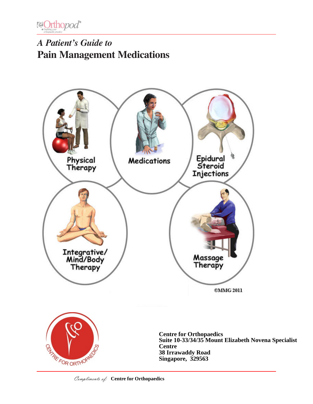

# *A Patient's Guide to* **Pain Management Medications**



Compliments of: Centre for Orthopaedics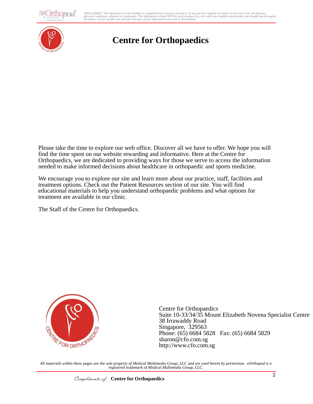**thopod** 

DISCLAIMER: The information in this booklet is compiled from a variety of sources. It may not be complete or timely. It does not cover all diseases,<br>physical conditions, ailments or treatments. The information yould NOT be



# **Centre for Orthopaedics**

Please take the time to explore our web office. Discover all we have to offer. We hope you will find the time spent on our website rewarding and informative. Here at the Centre for Orthopaedics, we are dedicated to providing ways for those we serve to access the information needed to make informed decisions about healthcare in orthopaedic and sports medicine.

We encourage you to explore our site and learn more about our practice, staff, facilities and treatment options. Check out the Patient Resources section of our site. You will find educational materials to help you understand orthopaedic problems and what options for treatment are available in our clinic.

The Staff of the Centre for Orthopaedics.



Centre for Orthopaedics Suite 10-33/34/35 Mount Elizabeth Novena Specialist Centre 38 Irrawaddy Road Singapore, 329563 Phone: (65) 6684 5828 Fax: (65) 6684 5829 sharon@cfo.com.sg http://www.cfo.com.sg

*All materials within these pages are the sole property of Medical Multimedia Group, LLC and are used herein by permission. eOrthopod is a registered trademark of Medical Multimedia Group, LLC.*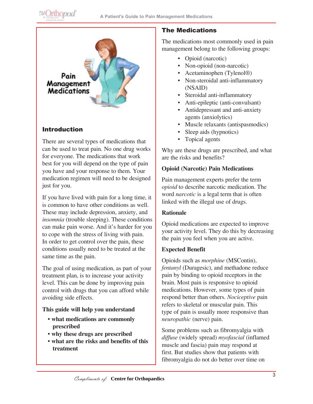



# Introduction

There are several types of medications that can be used to treat pain. No one drug works for everyone. The medications that work best for you will depend on the type of pain you have and your response to them. Your medication regimen will need to be designed just for you.

If you have lived with pain for a long time, it is common to have other conditions as well. These may include depression, anxiety, and *insomnia* (trouble sleeping). These conditions can make pain worse. And it's harder for you to cope with the stress of living with pain. In order to get control over the pain, these conditions usually need to be treated at the same time as the pain.

The goal of using medication, as part of your treatment plan, is to increase your activity level. This can be done by improving pain control with drugs that you can afford while avoiding side effects.

### **This guide will help you understand**

- **what medications are commonly prescribed**
- **why these drugs are prescribed**
- **what are the risks and benefits of this treatment**

### The Medications

The medications most commonly used in pain management belong to the following groups:

- Opioid (narcotic)
- Non-opioid (non-narcotic)
- Acetaminophen (Tylenol®)
- Non-steroidal anti-inflammatory (NSAID)
- • Steroidal anti-inflammatory
- Anti-epileptic (anti-convulsant)
- Antidepressant and anti-anxiety agents (anxiolytics)
- Muscle relaxants (antispasmodics)
- Sleep aids (hypnotics)
- Topical agents

Why are these drugs are prescribed, and what are the risks and benefits?

#### **Opioid (Narcotic) Pain Medications**

Pain management experts prefer the term *opioid* to describe narcotic medication. The word *narcotic* is a legal term that is often linked with the illegal use of drugs.

#### **Rationale**

Opioid medications are expected to improve your activity level. They do this by decreasing the pain you feel when you are active.

#### **Expected Benefit**

Opioids such as *morphine* (MSContin), *fentanyl* (Duragesic), and methadone reduce pain by binding to opioid receptors in the brain. Most pain is responsive to opioid medications. However, some types of pain respond better than others. *Nociceptive* pain refers to skeletal or muscular pain. This type of pain is usually more responsive than *neuropathic* (nerve) pain.

Some problems such as fibromyalgia with *diffuse* (widely spread) *myofascial* (inflamed muscle and fascia) pain may respond at first. But studies show that patients with fibromyalgia do not do better over time on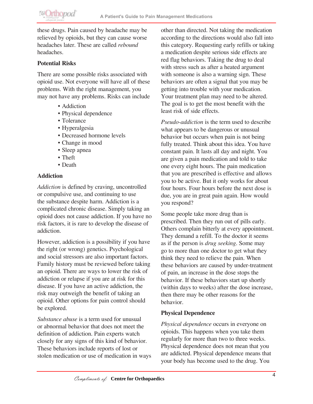

these drugs. Pain caused by headache may be relieved by opioids, but they can cause worse headaches later. These are called *rebound* headaches.

### **Potential Risks**

There are some possible risks associated with opioid use. Not everyone will have all of these problems. With the right management, you may not have any problems. Risks can include

- Addiction
- Physical dependence
- Tolerance
- Hyperalgesia
- Decreased hormone levels
- Change in mood
- Sleep apnea
- Theft
- Death

#### **Addiction**

*Addiction* is defined by craving, uncontrolled or compulsive use, and continuing to use the substance despite harm. Addiction is a complicated chronic disease. Simply taking an opioid does not cause addiction. If you have no risk factors, it is rare to develop the disease of addiction.

However, addiction is a possibility if you have the right (or wrong) genetics. Psychological and social stressors are also important factors. Family history must be reviewed before taking an opioid. There are ways to lower the risk of addiction or relapse if you are at risk for this disease. If you have an active addiction, the risk may outweigh the benefit of taking an opioid. Other options for pain control should be explored.

*Substance abuse* is a term used for unusual or abnormal behavior that does not meet the definition of addiction. Pain experts watch closely for any signs of this kind of behavior. These behaviors include reports of lost or stolen medication or use of medication in ways other than directed. Not taking the medication according to the directions would also fall into this category. Requesting early refills or taking a medication despite serious side effects are red flag behaviors. Taking the drug to deal with stress such as after a heated argument with someone is also a warning sign. These behaviors are often a signal that you may be getting into trouble with your medication. Your treatment plan may need to be altered. The goal is to get the most benefit with the least risk of side effects.

*Pseudo-addiction* is the term used to describe what appears to be dangerous or unusual behavior but occurs when pain is not being fully treated. Think about this idea. You have constant pain. It lasts all day and night. You are given a pain medication and told to take one every eight hours. The pain medication that you are prescribed is effective and allows you to be active. But it only works for about four hours. Four hours before the next dose is due, you are in great pain again. How would you respond?

Some people take more drug than is prescribed. Then they run out of pills early. Others complain bitterly at every appointment. They demand a refill. To the doctor it seems as if the person is *drug seeking*. Some may go to more than one doctor to get what they think they need to relieve the pain. When these behaviors are caused by under-treatment of pain, an increase in the dose stops the behavior. If these behaviors start up shortly (within days to weeks) after the dose increase, then there may be other reasons for the behavior.

### **Physical Dependence**

*Physical dependence* occurs in everyone on opioids. This happens when you take them regularly for more than two to three weeks. Physical dependence does not mean that you are addicted. Physical dependence means that your body has become used to the drug. You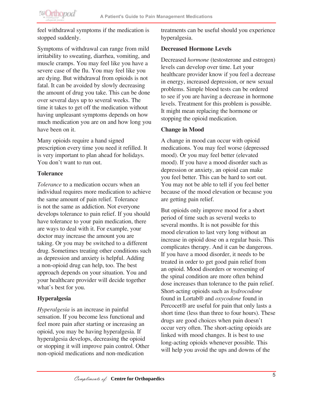**@Orthopod** 

feel withdrawal symptoms if the medication is stopped suddenly.

Symptoms of withdrawal can range from mild irritability to sweating, diarrhea, vomiting, and muscle cramps. You may feel like you have a severe case of the flu. You may feel like you are dying. But withdrawal from opioids is not fatal. It can be avoided by slowly decreasing the amount of drug you take. This can be done over several days up to several weeks. The time it takes to get off the medication without having unpleasant symptoms depends on how much medication you are on and how long you have been on it.

Many opioids require a hand signed prescription every time you need it refilled. It is very important to plan ahead for holidays. You don't want to run out.

#### **Tolerance**

*Tolerance* to a medication occurs when an individual requires more medication to achieve the same amount of pain relief. Tolerance is not the same as addiction. Not everyone develops tolerance to pain relief. If you should have tolerance to your pain medication, there are ways to deal with it. For example, your doctor may increase the amount you are taking. Or you may be switched to a different drug. Sometimes treating other conditions such as depression and anxiety is helpful. Adding a non-opioid drug can help, too. The best approach depends on your situation. You and your healthcare provider will decide together what's best for you.

### **Hyperalgesia**

*Hyperalgesia* is an increase in painful sensation. If you become less functional and feel more pain after starting or increasing an opioid, you may be having hyperalgesia. If hyperalgesia develops, decreasing the opioid or stopping it will improve pain control. Other non-opioid medications and non-medication

treatments can be useful should you experience hyperalgesia.

#### **Decreased Hormone Levels**

Decreased *hormone* (testosterone and estrogen) levels can develop over time. Let your healthcare provider know if you feel a decrease in energy, increased depression, or new sexual problems. Simple blood tests can be ordered to see if you are having a decrease in hormone levels. Treatment for this problem is possible. It might mean replacing the hormone or stopping the opioid medication.

#### **Change in Mood**

A change in mood can occur with opioid medications. You may feel worse (depressed mood). Or you may feel better (elevated mood). If you have a mood disorder such as depression or anxiety, an opioid can make you feel better. This can be hard to sort out. You may not be able to tell if you feel better because of the mood elevation or because you are getting pain relief.

But opioids only improve mood for a short period of time such as several weeks to several months. It is not possible for this mood elevation to last very long without an increase in opioid dose on a regular basis. This complicates therapy. And it can be dangerous. If you have a mood disorder, it needs to be treated in order to get good pain relief from an opioid. Mood disorders or worsening of the spinal condition are more often behind dose increases than tolerance to the pain relief. Short-acting opioids such as *hydrocodone*  found in Lortab® and *oxycodone* found in Percocet® are useful for pain that only lasts a short time (less than three to four hours). These drugs are good choices when pain doesn't occur very often. The short-acting opioids are linked with mood changes. It is best to use long-acting opioids whenever possible. This will help you avoid the ups and downs of the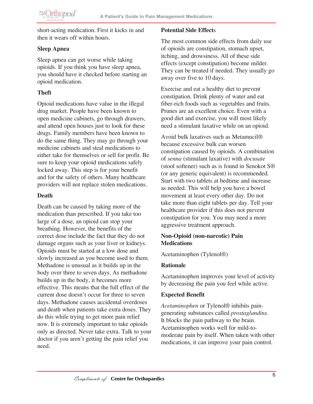short-acting medication. First it kicks in and then it wears off within hours.

# **Sleep Apnea**

Sleep apnea can get worse while taking opioids. If you think you have sleep apnea, you should have it checked before starting an opioid medication.

# **Theft**

Opioid medications have value in the illegal drug market. People have been known to open medicine cabinets, go through drawers, and attend open houses just to look for these drugs. Family members have been known to do the same thing. They may go through your medicine cabinets and steal medications to either take for themselves or sell for profit. Be sure to keep your opioid medications safely locked away. This step is for your benefit and for the safety of others. Many healthcare providers will not replace stolen medications.

# **Death**

Death can be caused by taking more of the medication than prescribed. If you take too large of a dose, an opioid can stop your breathing. However, the benefits of the correct dose include the fact that they do not damage organs such as your liver or kidneys. Opioids must be started at a low dose and slowly increased as you become used to them. Methadone is unusual as it builds up in the body over three to seven days. As methadone builds up in the body, it becomes more effective. This means that the full effect of the current dose doesn't occur for three to seven days. Methadone causes accidental overdoses and death when patients take extra doses. They do this while trying to get more pain relief now. It is extremely important to take opioids only as directed. Never take extra. Talk to your doctor if you aren't getting the pain relief you need.

### **Potential Side Effect**s

The most common side effects from daily use of opioids are constipation, stomach upset, itching, and drowsiness. All of these side effects (except constipation) become milder. They can be treated if needed. They usually go away over five to 10 days.

Exercise and eat a healthy diet to prevent constipation. Drink plenty of water and eat fiber-rich foods such as vegetables and fruits. Prunes are an excellent choice. Even with a good diet and exercise, you will most likely need a stimulant laxative while on an opioid.

Avoid bulk laxatives such as Metamucil® because excessive bulk can worsen constipation caused by opioids. A combination of *senna* (stimulant laxative) with *docusate*  (stool softener) such as is found in Senokot S® (or any generic equivalent) is recommended. Start with two tablets at bedtime and increase as needed. This will help you have a bowel movement at least every other day. Do not take more than eight tablets per day. Tell your healthcare provider if this does not prevent constipation for you. You may need a more aggressive treatment approach.

### **Non-Opioid (non-narcotic) Pain Medications**

Acetaminophen (Tylenol®)

### **Rationale**

Acetaminophen improves your level of activity by decreasing the pain you feel while active.

### **Expected Benefit**

*Acetaminophen* or Tylenol® inhibits paingenerating substances called *prostaglandins*. It blocks the pain pathway to the brain. Acetaminophen works well for mild-tomoderate pain by itself. When taken with other medications, it can improve your pain control.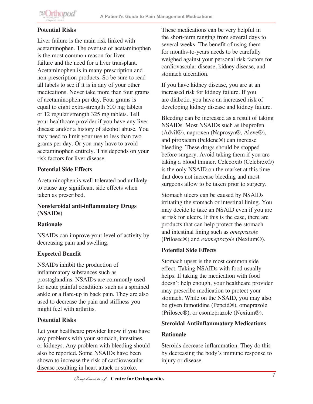

### **Potential Risks**

Liver failure is the main risk linked with acetaminophen. The overuse of acetaminophen is the most common reason for liver failure and the need for a liver transplant. Acetaminophen is in many prescription and non-prescription products. So be sure to read all labels to see if it is in any of your other medications. Never take more than four grams of acetaminophen per day. Four grams is equal to eight extra-strength 500 mg tablets or 12 regular strength 325 mg tablets. Tell your healthcare provider if you have any liver disease and/or a history of alcohol abuse. You may need to limit your use to less than two grams per day. Or you may have to avoid acetaminophen entirely. This depends on your risk factors for liver disease.

#### **Potential Side Effects**

Acetaminophen is well-tolerated and unlikely to cause any significant side effects when taken as prescribed.

#### **Nonsteroidal anti-inflammatory Drugs (NSAIDs)**

### **Rationale**

NSAIDs can improve your level of activity by decreasing pain and swelling.

### **Expected Benefit**

NSAIDs inhibit the production of inflammatory substances such as prostaglandins. NSAIDs are commonly used for acute painful conditions such as a sprained ankle or a flare-up in back pain. They are also used to decrease the pain and stiffness you might feel with arthritis.

### **Potential Risks**

Let your healthcare provider know if you have any problems with your stomach, intestines, or kidneys. Any problem with bleeding should also be reported. Some NSAIDs have been shown to increase the risk of cardiovascular disease resulting in heart attack or stroke.

These medications can be very helpful in the short-term ranging from several days to several weeks. The benefit of using them for months-to-years needs to be carefully weighed against your personal risk factors for cardiovascular disease, kidney disease, and stomach ulceration.

If you have kidney disease, you are at an increased risk for kidney failure. If you are diabetic, you have an increased risk of developing kidney disease and kidney failure.

Bleeding can be increased as a result of taking NSAIDs. Most NSAIDs such as ibuprofen (Advil®), naproxen (Naprosyn®, Aleve®), and piroxicam (Feldene®) can increase bleeding. These drugs should be stopped before surgery. Avoid taking them if you are taking a blood thinner. Celecoxib (Celebrex®) is the only NSAID on the market at this time that does not increase bleeding and most surgeons allow to be taken prior to surgery.

Stomach ulcers can be caused by NSAIDs irritating the stomach or intestinal lining. You may decide to take an NSAID even if you are at risk for ulcers. If this is the case, there are products that can help protect the stomach and intestinal lining such as *omeprazole*  (Prilosec®) and *esomeprazole* (Nexium®).

### **Potential Side Effects**

Stomach upset is the most common side effect. Taking NSAIDs with food usually helps. If taking the medication with food doesn't help enough, your healthcare provider may prescribe medication to protect your stomach. While on the NSAID, you may also be given famotidine (Pepcid®), omeprazole (Prilosec®), or esomeprazole (Nexium®).

#### **Steroidal Antiinflammatory Medications**

#### **Rationale**

Steroids decrease inflammation. They do this by decreasing the body's immune response to injury or disease.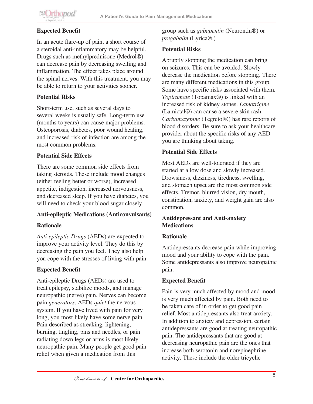# **Expected Benefit**

In an acute flare-up of pain, a short course of a steroidal anti-inflammatory may be helpful. Drugs such as methylprednisone (Medrol®) can decrease pain by decreasing swelling and inflammation. The effect takes place around the spinal nerves. With this treatment, you may be able to return to your activities sooner.

# **Potential Risks**

Short-term use, such as several days to several weeks is usually safe. Long-term use (months to years) can cause major problems. Osteoporosis, diabetes, poor wound healing, and increased risk of infection are among the most common problems.

# **Potential Side Effects**

There are some common side effects from taking steroids. These include mood changes (either feeling better or worse), increased appetite, indigestion, increased nervousness, and decreased sleep. If you have diabetes, you will need to check your blood sugar closely.

# **Anti-epileptic Medications (Anticonvulsants)**

# **Rationale**

*Anti-epileptic Drugs* (AEDs) are expected to improve your activity level. They do this by decreasing the pain you feel. They also help you cope with the stresses of living with pain.

# **Expected Benefit**

Anti-epileptic Drugs (AEDs) are used to treat epilepsy, stabilize moods, and manage neuropathic (nerve) pain. Nerves can become pain *generators*. AEDs *quiet* the nervous system. If you have lived with pain for very long, you most likely have some nerve pain. Pain described as streaking, lightening, burning, tingling, pins and needles, or pain radiating down legs or arms is most likely neuropathic pain. Many people get good pain relief when given a medication from this

group such as *gabapentin* (Neurontin®) or *pregabalin* (Lyrica®.)

# **Potential Risks**

Abruptly stopping the medication can bring on seizures. This can be avoided. Slowly decrease the medication before stopping. There are many different medications in this group. Some have specific risks associated with them. *Topiramate* (Topamax®) is linked with an increased risk of kidney stones. *Lamotrigine*  (Lamictal®) can cause a severe skin rash. *Carbamazepine* (Tegretol®) has rare reports of blood disorders. Be sure to ask your healthcare provider about the specific risks of any AED you are thinking about taking.

# **Potential Side Effects**

Most AEDs are well-tolerated if they are started at a low dose and slowly increased. Drowsiness, dizziness, tiredness, swelling, and stomach upset are the most common side effects. Tremor, blurred vision, dry mouth, constipation, anxiety, and weight gain are also common.

# **Antidepressant and Anti-anxiety Medications**

# **Rationale**

Antidepressants decrease pain while improving mood and your ability to cope with the pain. Some antidepressants also improve neuropathic pain.

# **Expected Benefit**

Pain is very much affected by mood and mood is very much affected by pain. Both need to be taken care of in order to get good pain relief. Most antidepressants also treat anxiety. In addition to anxiety and depression, certain antidepressants are good at treating neuropathic pain. The antidepressants that are good at decreasing neuropathic pain are the ones that increase both serotonin and norepinephrine activity. These include the older tricyclic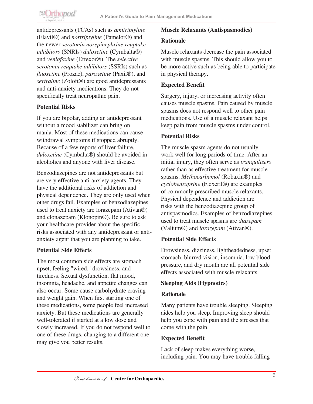antidepressants (TCAs) such as *amitriptyline* (Elavil®) and *nortriptyline* (Pamelor®) and the newer *serotonin norepinephrine reuptake inhibitors* (SNRIs) *duloxetine* (Cymbalta®) and *venlafaxine* (Effexor®). The *selective serotonin reuptake inhibitors* (SSRIs) such as *fluoxetine* (Prozac), *paroxetine* (Paxil®), and *sertraline* (Zoloft®) are good antidepressants and anti-anxiety medications. They do not specifically treat neuropathic pain.

### **Potential Risks**

If you are bipolar, adding an antidepressant without a mood stabilizer can bring on mania. Most of these medications can cause withdrawal symptoms if stopped abruptly. Because of a few reports of liver failure, *duloxetine* (Cymbalta®) should be avoided in alcoholics and anyone with liver disease.

Benzodiazepines are not antidepressants but are very effective anti-anxiety agents. They have the additional risks of addiction and physical dependence. They are only used when other drugs fail. Examples of benzodiazepines used to treat anxiety are lorazepam (Ativan®) and clonazepam (Klonopin®). Be sure to ask your healthcare provider about the specific risks associated with any antidepressant or antianxiety agent that you are planning to take.

### **Potential Side Effects**

The most common side effects are stomach upset, feeling "wired," drowsiness, and tiredness. Sexual dysfunction, flat mood, insomnia, headache, and appetite changes can also occur. Some cause carbohydrate craving and weight gain. When first starting one of these medications, some people feel increased anxiety. But these medications are generally well-tolerated if started at a low dose and slowly increased. If you do not respond well to one of these drugs, changing to a different one may give you better results.

#### **Muscle Relaxants (Antispasmodics)**

#### **Rationale**

Muscle relaxants decrease the pain associated with muscle spasms. This should allow you to be more active such as being able to participate in physical therapy.

#### **Expected Benefit**

Surgery, injury, or increasing activity often causes muscle spasms. Pain caused by muscle spasms does not respond well to other pain medications. Use of a muscle relaxant helps keep pain from muscle spasms under control.

#### **Potential Risks**

The muscle spasm agents do not usually work well for long periods of time. After an initial injury, they often serve as *tranquilizers* rather than as effective treatment for muscle spasms. *Methocarbamol* (Robaxin®) and *cyclobenzaprine* (Flexeril®) are examples of commonly prescribed muscle relaxants. Physical dependence and addiction are risks with the benzodiazepine group of antispasmodics. Examples of benzodiazepines used to treat muscle spasms are *diazepam* (Valium®) and *lorazepam* (Ativan®).

### **Potential Side Effects**

Drowsiness, dizziness, lightheadedness, upset stomach, blurred vision, insomnia, low blood pressure, and dry mouth are all potential side effects associated with muscle relaxants.

#### **Sleeping Aids (Hypnotics)**

### **Rationale**

Many patients have trouble sleeping. Sleeping aides help you sleep. Improving sleep should help you cope with pain and the stresses that come with the pain.

### **Expected Benefit**

Lack of sleep makes everything worse, including pain. You may have trouble falling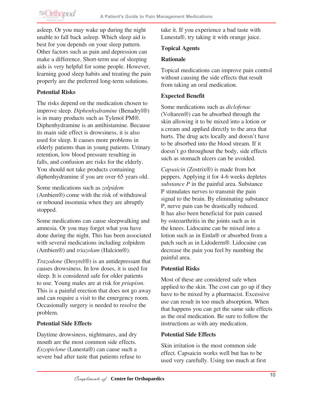**@Orthopod** 

asleep. Or you may wake up during the night unable to fall back asleep. Which sleep aid is best for you depends on your sleep pattern. Other factors such as pain and depression can make a difference. Short-term use of sleeping aids is very helpful for some people. However, learning good sleep habits and treating the pain properly are the preferred long-term solutions.

### **Potential Risks**

The risks depend on the medication chosen to improve sleep. *Diphenhydramine* (Benadryl®) is in many products such as Tylenol PM®. Diphenhydramine is an antihistamine. Because its main side effect is drowsiness, it is also used for sleep. It causes more problems in elderly patients than in young patients. Urinary retention, low blood pressure resulting in falls, and confusion are risks for the elderly. You should not take products containing diphenhydramine if you are over 65 years old.

Some medications such as *zolpidem*  (Ambien®) come with the risk of withdrawal or rebound insomnia when they are abruptly stopped.

Some medications can cause sleepwalking and amnesia. Or you may forget what you have done during the night. This has been associated with several medications including zolpidem (Ambien®) and *triazolam* (Halcion®).

*Trazodone* (Desyrel®) is an antidepressant that causes drowsiness. In low doses, it is used for sleep. It is considered safe for older patients to use. Young males are at risk for *priapism*. This is a painful erection that does not go away and can require a visit to the emergency room. Occasionally surgery is needed to resolve the problem.

### **Potential Side Effects**

Daytime drowsiness, nightmares, and dry mouth are the most common side effects. *Eszopiclone* (Lunesta®) can cause such a severe bad after taste that patients refuse to

take it. If you experience a bad taste with Lunesta®, try taking it with orange juice.

### **Topical Agents**

### **Rationale**

Topical medications can improve pain control without causing the side effects that result from taking an oral medication.

### **Expected Benefit**

Some medications such as *diclofenac* (Voltaren®) can be absorbed through the skin allowing it to be mixed into a lotion or a cream and applied directly to the area that hurts. The drug acts locally and doesn't have to be absorbed into the blood stream. If it doesn't go throughout the body, side effects such as stomach ulcers can be avoided.

*Capsaicin* (Zostrix®) is made from hot peppers. Applying it for 4-6 weeks depletes *substance P* in the painful area. Substance P stimulates nerves to transmit the pain signal to the brain. By eliminating substance P, nerve pain can be drastically reduced. It has also been beneficial for pain caused by osteoarthritis in the joints such as in the knees. Lidocaine can be mixed into a lotion such as in Emla® or absorbed from a patch such as in Lidoderm®. Lidocaine can decrease the pain you feel by numbing the painful area.

### **Potential Risks**

Most of these are considered safe when applied to the skin. The cost can go up if they have to be mixed by a pharmacist. Excessive use can result in too much absorption. When that happens you can get the same side effects as the oral medication. Be sure to follow the instructions as with any medication.

### **Potential Side Effects**

Skin irritation is the most common side effect. Capsaicin works well but has to be used very carefully. Using too much at first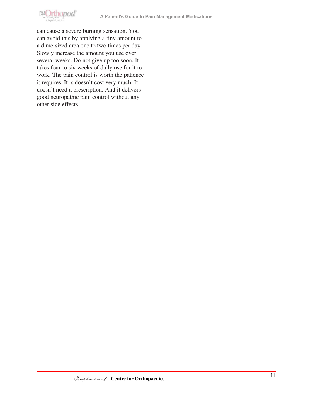

can cause a severe burning sensation. You can avoid this by applying a tiny amount to a dime-sized area one to two times per day. Slowly increase the amount you use over several weeks. Do not give up too soon. It takes four to six weeks of daily use for it to work. The pain control is worth the patience it requires. It is doesn't cost very much. It doesn't need a prescription. And it delivers good neuropathic pain control without any other side effects